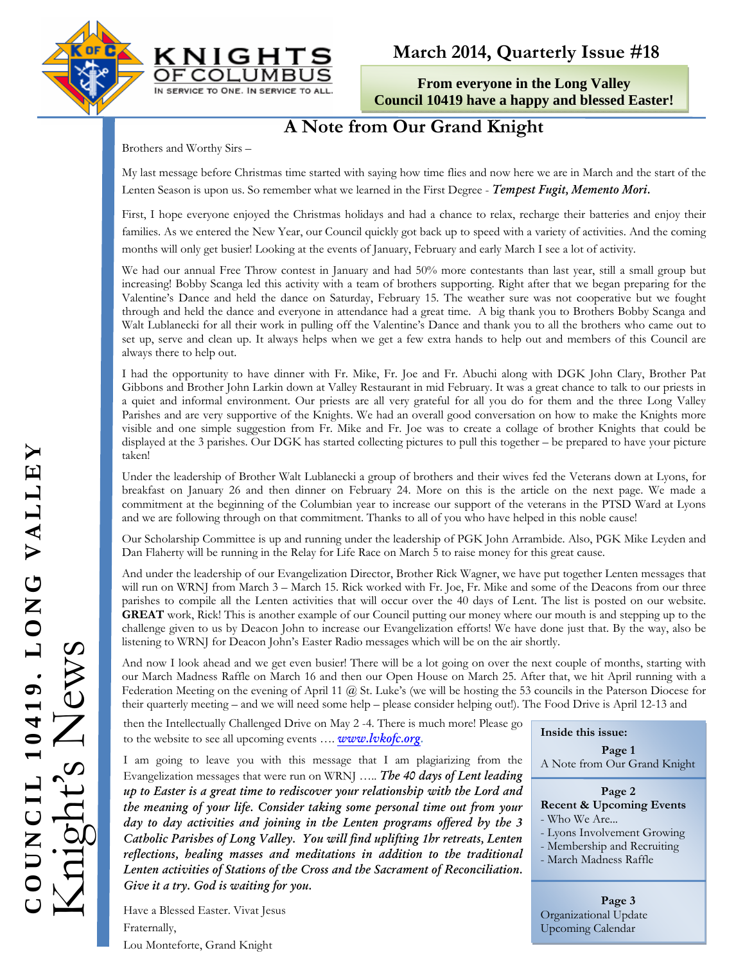



# **March 2014, Quarterly Issue #18**

**From everyone in the Long Valley Council 10419 have a happy and blessed Easter!** 

# **A Note from Our Grand Knight**

Brothers and Worthy Sirs –

My last message before Christmas time started with saying how time flies and now here we are in March and the start of the Lenten Season is upon us. So remember what we learned in the First Degree - *Tempest Fugit, Memento Mori.* 

First, I hope everyone enjoyed the Christmas holidays and had a chance to relax, recharge their batteries and enjoy their families. As we entered the New Year, our Council quickly got back up to speed with a variety of activities. And the coming months will only get busier! Looking at the events of January, February and early March I see a lot of activity.

We had our annual Free Throw contest in January and had 50% more contestants than last year, still a small group but increasing! Bobby Scanga led this activity with a team of brothers supporting. Right after that we began preparing for the Valentine's Dance and held the dance on Saturday, February 15. The weather sure was not cooperative but we fought through and held the dance and everyone in attendance had a great time. A big thank you to Brothers Bobby Scanga and Walt Lublanecki for all their work in pulling off the Valentine's Dance and thank you to all the brothers who came out to set up, serve and clean up. It always helps when we get a few extra hands to help out and members of this Council are always there to help out.

I had the opportunity to have dinner with Fr. Mike, Fr. Joe and Fr. Abuchi along with DGK John Clary, Brother Pat Gibbons and Brother John Larkin down at Valley Restaurant in mid February. It was a great chance to talk to our priests in a quiet and informal environment. Our priests are all very grateful for all you do for them and the three Long Valley Parishes and are very supportive of the Knights. We had an overall good conversation on how to make the Knights more visible and one simple suggestion from Fr. Mike and Fr. Joe was to create a collage of brother Knights that could be displayed at the 3 parishes. Our DGK has started collecting pictures to pull this together – be prepared to have your picture taken!

Under the leadership of Brother Walt Lublanecki a group of brothers and their wives fed the Veterans down at Lyons, for breakfast on January 26 and then dinner on February 24. More on this is the article on the next page. We made a commitment at the beginning of the Columbian year to increase our support of the veterans in the PTSD Ward at Lyons and we are following through on that commitment. Thanks to all of you who have helped in this noble cause!

Our Scholarship Committee is up and running under the leadership of PGK John Arrambide. Also, PGK Mike Leyden and Dan Flaherty will be running in the Relay for Life Race on March 5 to raise money for this great cause.

And under the leadership of our Evangelization Director, Brother Rick Wagner, we have put together Lenten messages that will run on WRNJ from March 3 – March 15. Rick worked with Fr. Joe, Fr. Mike and some of the Deacons from our three parishes to compile all the Lenten activities that will occur over the 40 days of Lent. The list is posted on our website. **GREAT** work, Rick! This is another example of our Council putting our money where our mouth is and stepping up to the challenge given to us by Deacon John to increase our Evangelization efforts! We have done just that. By the way, also be listening to WRNJ for Deacon John's Easter Radio messages which will be on the air shortly.

And now I look ahead and we get even busier! There will be a lot going on over the next couple of months, starting with our March Madness Raffle on March 16 and then our Open House on March 25. After that, we hit April running with a Federation Meeting on the evening of April 11 @ St. Luke's (we will be hosting the 53 councils in the Paterson Diocese for their quarterly meeting – and we will need some help – please consider helping out!). The Food Drive is April 12-13 and

then the Intellectually Challenged Drive on May 2 -4. There is much more! Please go to the website to see all upcoming events …. *www.lvkofc.org.* 

I am going to leave you with this message that I am plagiarizing from the Evangelization messages that were run on WRNJ ….. *The 40 days of Lent leading up to Easter is a great time to rediscover your relationship with the Lord and the meaning of your life. Consider taking some personal time out from your day to day activities and joining in the Lenten programs offered by the 3 Catholic Parishes of Long Valley. You will find uplifting 1hr retreats, Lenten reflections, healing masses and meditations in addition to the traditional Lenten activities of Stations of the Cross and the Sacrament of Reconciliation. Give it a try. God is waiting for you.* 

Have a Blessed Easter. Vivat Jesus Fraternally, Lou Monteforte, Grand Knight

**Inside this issue:**

**Page 1**  A Note from Our Grand Knight

#### **Page 2 Recent & Upcoming Events**  - Who We Are... - Lyons Involvement Growing

- 
- Membership and Recruiting
- March Madness Raffle

**Page 3**  Organizational Update Upcoming Calendar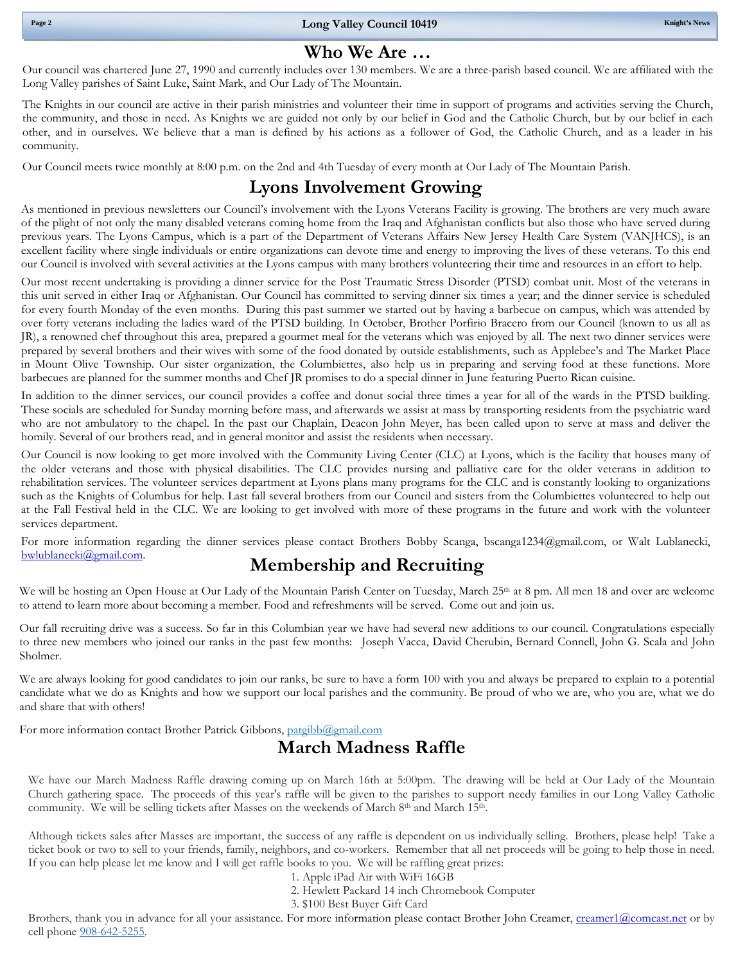### **Who We Are …**

Our council was chartered June 27, 1990 and currently includes over 130 members. We are a three-parish based council. We are affiliated with the Long Valley parishes of Saint Luke, Saint Mark, and Our Lady of The Mountain.

 the community, and those in need. As Knights we are guided not only by our belief in God and the Catholic Church, but by our belief in each The Knights in our council are active in their parish ministries and volunteer their time in support of programs and activities serving the Church, other, and in ourselves. We believe that a man is defined by his actions as a follower of God, the Catholic Church, and as a leader in his community.

Our Council meets twice monthly at 8:00 p.m. on the 2nd and 4th Tuesday of every month at Our Lady of The Mountain Parish.

## **Lyons Involvement Growing**

As mentioned in previous newsletters our Council's involvement with the Lyons Veterans Facility is growing. The brothers are very much aware of the plight of not only the many disabled veterans coming home from the Iraq and Afghanistan conflicts but also those who have served during previous years. The Lyons Campus, which is a part of the Department of Veterans Affairs New Jersey Health Care System (VANJHCS), is an excellent facility where single individuals or entire organizations can devote time and energy to improving the lives of these veterans. To this end our Council is involved with several activities at the Lyons campus with many brothers volunteering their time and resources in an effort to help.

Our most recent undertaking is providing a dinner service for the Post Traumatic Stress Disorder (PTSD) combat unit. Most of the veterans in this unit served in either Iraq or Afghanistan. Our Council has committed to serving dinner six times a year; and the dinner service is scheduled for every fourth Monday of the even months. During this past summer we started out by having a barbecue on campus, which was attended by over forty veterans including the ladies ward of the PTSD building. In October, Brother Porfirio Bracero from our Council (known to us all as JR), a renowned chef throughout this area, prepared a gourmet meal for the veterans which was enjoyed by all. The next two dinner services were prepared by several brothers and their wives with some of the food donated by outside establishments, such as Applebee's and The Market Place in Mount Olive Township. Our sister organization, the Columbiettes, also help us in preparing and serving food at these functions. More barbecues are planned for the summer months and Chef JR promises to do a special dinner in June featuring Puerto Rican cuisine.

In addition to the dinner services, our council provides a coffee and donut social three times a year for all of the wards in the PTSD building. These socials are scheduled for Sunday morning before mass, and afterwards we assist at mass by transporting residents from the psychiatric ward who are not ambulatory to the chapel. In the past our Chaplain, Deacon John Meyer, has been called upon to serve at mass and deliver the homily. Several of our brothers read, and in general monitor and assist the residents when necessary.

at the Fall Festival held in the CLC. We are looking to get involved with more of these programs in the future and work with the volunteer<br>services department Our Council is now looking to get more involved with the Community Living Center (CLC) at Lyons, which is the facility that houses many of the older veterans and those with physical disabilities. The CLC provides nursing and palliative care for the older veterans in addition to rehabilitation services. The volunteer services department at Lyons plans many programs for the CLC and is constantly looking to organizations such as the Knights of Columbus for help. Last fall several brothers from our Council and sisters from the Columbiettes volunteered to help out services department.

 bwlublanecki@gmail.com. For more information regarding the dinner services please contact Brothers Bobby Scanga, bscanga1234@gmail.com, or Walt Lublanecki,

### **Membership and Recruiting**

We will be hosting an Open House at Our Lady of the Mountain Parish Center on Tuesday, March 25<sup>th</sup> at 8 pm. All men 18 and over are welcome to attend to learn more about becoming a member. Food and refreshments will be served. Come out and join us.

Our fall recruiting drive was a success. So far in this Columbian year we have had several new additions to our council. Congratulations especially to three new members who joined our ranks in the past few months: Joseph Vacca, David Cherubin, Bernard Connell, John G. Scala and John Sholmer.

We are always looking for good candidates to join our ranks, be sure to have a form 100 with you and always be prepared to explain to a potential candidate what we do as Knights and how we support our local parishes and the community. Be proud of who we are, who you are, what we do and share that with others!

For more information contact Brother Patrick Gibbons, patgibb@gmail.com

# **March Madness Raffle**

We have our March Madness Raffle drawing coming up on March 16th at 5:00pm. The drawing will be held at Our Lady of the Mountain Church gathering space. The proceeds of this year's raffle will be given to the parishes to support needy families in our Long Valley Catholic community. We will be selling tickets after Masses on the weekends of March 8th and March 15th.

Although tickets sales after Masses are important, the success of any raffle is dependent on us individually selling. Brothers, please help! Take a ticket book or two to sell to your friends, family, neighbors, and co-workers. Remember that all net proceeds will be going to help those in need. If you can help please let me know and I will get raffle books to you. We will be raffling great prizes:

- 1. Apple iPad Air with WiFi 16GB
- 2. Hewlett Packard 14 inch Chromebook Computer
- 3. \$100 Best Buyer Gift Card

Brothers, thank you in advance for all your assistance. For more information please contact Brother John Creamer, creamer1@comcast.net or by cell phone 908-642-5255.